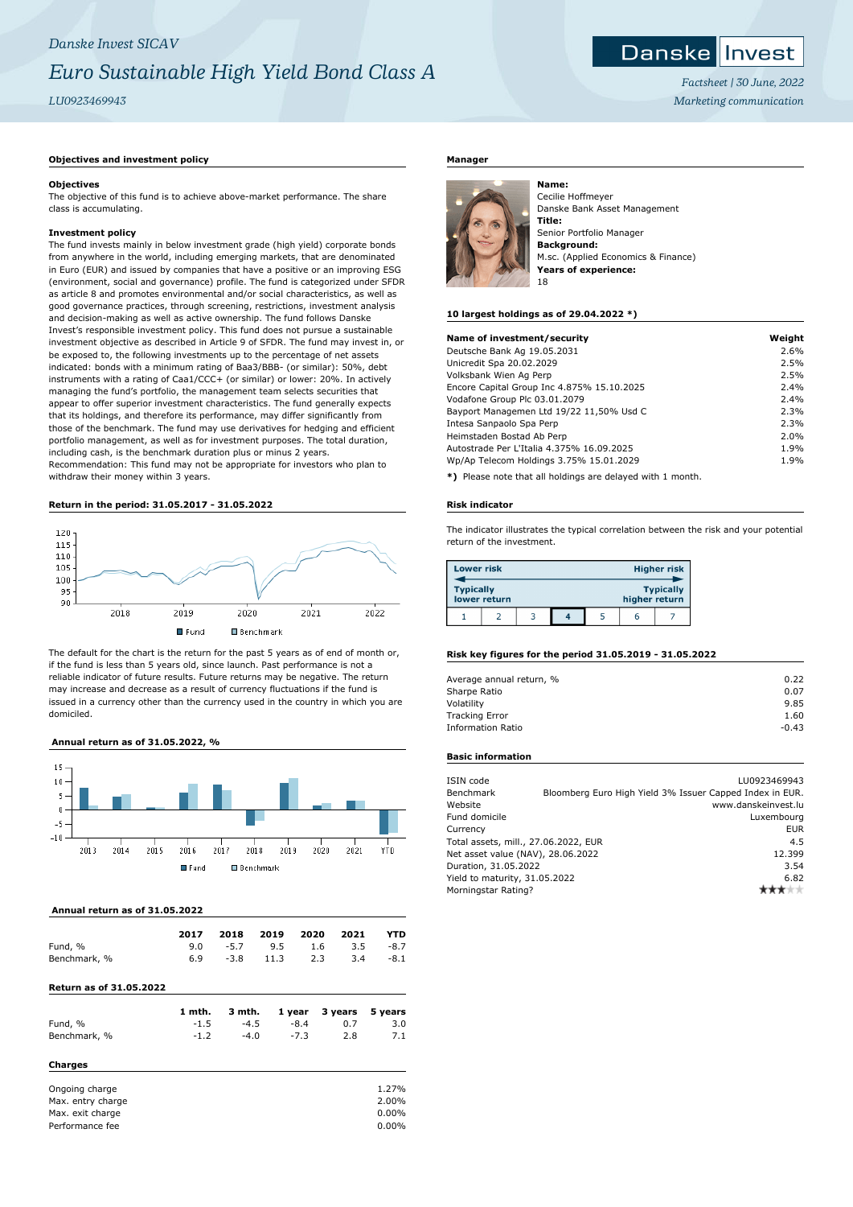# *Danske Invest SICAV Euro Sustainable High Yield Bond Class A LU0923469943*

# **Objectives and investment policy**

#### **Objectives**

The objective of this fund is to achieve above-market performance. The share class is accumulating.

# **Investment policy**

The fund invests mainly in below investment grade (high yield) corporate bonds from anywhere in the world, including emerging markets, that are denominated in Euro (EUR) and issued by companies that have a positive or an improving ESG (environment, social and governance) profile. The fund is categorized under SFDR as article 8 and promotes environmental and/or social characteristics, as well as good governance practices, through screening, restrictions, investment analysis and decision-making as well as active ownership. The fund follows Danske Invest's responsible investment policy. This fund does not pursue a sustainable investment objective as described in Article 9 of SFDR. The fund may invest in, or be exposed to, the following investments up to the percentage of net assets indicated: bonds with a minimum rating of Baa3/BBB- (or similar): 50%, debt instruments with a rating of Caa1/CCC+ (or similar) or lower: 20%. In actively managing the fund's portfolio, the management team selects securities that appear to offer superior investment characteristics. The fund generally expects that its holdings, and therefore its performance, may differ significantly from those of the benchmark. The fund may use derivatives for hedging and efficient portfolio management, as well as for investment purposes. The total duration, including cash, is the benchmark duration plus or minus 2 years. Recommendation: This fund may not be appropriate for investors who plan to withdraw their money within 3 years.

# **Return in the period: 31.05.2017 - 31.05.2022**



The default for the chart is the return for the past 5 years as of end of month or, if the fund is less than 5 years old, since launch. Past performance is not a reliable indicator of future results. Future returns may be negative. The return may increase and decrease as a result of currency fluctuations if the fund is issued in a currency other than the currency used in the country in which you are domiciled.

# **Annual return as of 31.05.2022, %**



#### **Annual return as of 31.05.2022**

|              | 2017 |  | 2018 2019 2020 2021 |                               | <b>YTD</b> |
|--------------|------|--|---------------------|-------------------------------|------------|
| Fund, %      |      |  |                     | 9.0 $-5.7$ 9.5 1.6 3.5 $-8.7$ |            |
| Benchmark, % | 6.9  |  | $-3.8$ 11.3 2.3     | 3.4                           | $-8.1$     |

#### **Return as of 31.05.2022**

|                  | 1 mth. | 3 mth. | 1 year | 3 years | 5 years |
|------------------|--------|--------|--------|---------|---------|
| Fund, %          | $-1.5$ | $-4.5$ | $-8.4$ | 0.7     | 3.0     |
| Benchmark, %     | $-1.2$ | $-4.0$ | $-7.3$ | 2.8     | 7.1     |
| <b>Charges</b>   |        |        |        |         |         |
| Ongoing charge   |        |        |        |         | 1.27%   |
| May ontry charge |        |        |        |         | 2.0006  |

| Ondoniq charge    | 1.2/70   |
|-------------------|----------|
| Max. entry charge | 2.00%    |
| Max. exit charge  | 0.00%    |
| Performance fee   | $0.00\%$ |

# **Manager**



Cecilie Hoffmeyer Danske Bank Asset Management **Title:** Senior Portfolio Manager **Background:** M.sc. (Applied Economics & Finance) **Years of experience:** 18

# **10 largest holdings as of 29.04.2022 \*)**

**Name:**

| Name of investment/security                | Weight |
|--------------------------------------------|--------|
| Deutsche Bank Ag 19.05.2031                | 2.6%   |
| Unicredit Spa 20.02.2029                   | 2.5%   |
| Volksbank Wien Ag Perp                     | 2.5%   |
| Encore Capital Group Inc 4.875% 15.10.2025 | 2.4%   |
| Vodafone Group Plc 03.01.2079              | 2.4%   |
| Bayport Managemen Ltd 19/22 11,50% Usd C   | 2.3%   |
| Intesa Sanpaolo Spa Perp                   | 2.3%   |
| Heimstaden Bostad Ab Perp                  | 2.0%   |
| Autostrade Per L'Italia 4.375% 16.09.2025  | 1.9%   |
| Wp/Ap Telecom Holdings 3.75% 15.01.2029    | 1.9%   |
|                                            |        |

**\*)** Please note that all holdings are delayed with 1 month.

#### **Risk indicator**

The indicator illustrates the typical correlation between the risk and your potential return of the investment.

| <b>Lower risk</b> |              | <b>Higher risk</b> |  |  |               |                  |
|-------------------|--------------|--------------------|--|--|---------------|------------------|
| <b>Typically</b>  | lower return |                    |  |  | higher return | <b>Typically</b> |
|                   |              |                    |  |  | b             |                  |

# **Risk key figures for the period 31.05.2019 - 31.05.2022**

| Average annual return, % | 0.22    |
|--------------------------|---------|
| Sharpe Ratio             | 0.07    |
| Volatility               | 9.85    |
| <b>Tracking Error</b>    | 1.60    |
| <b>Information Ratio</b> | $-0.43$ |

# **Basic information**

| ISIN code                            |  | LU0923469943                                             |
|--------------------------------------|--|----------------------------------------------------------|
| Benchmark                            |  | Bloomberg Euro High Yield 3% Issuer Capped Index in EUR. |
| Website                              |  | www.danskeinvest.lu                                      |
| Fund domicile                        |  | Luxembourg                                               |
| Currency                             |  | <b>EUR</b>                                               |
| Total assets, mill., 27.06.2022, EUR |  | 4.5                                                      |
| Net asset value (NAV), 28.06.2022    |  | 12.399                                                   |
| Duration, 31.05.2022                 |  | 3.54                                                     |
| Yield to maturity, 31.05.2022        |  | 6.82                                                     |
| Morningstar Rating?                  |  |                                                          |



*Factsheet | 30 June, 2022 Marketing communication*